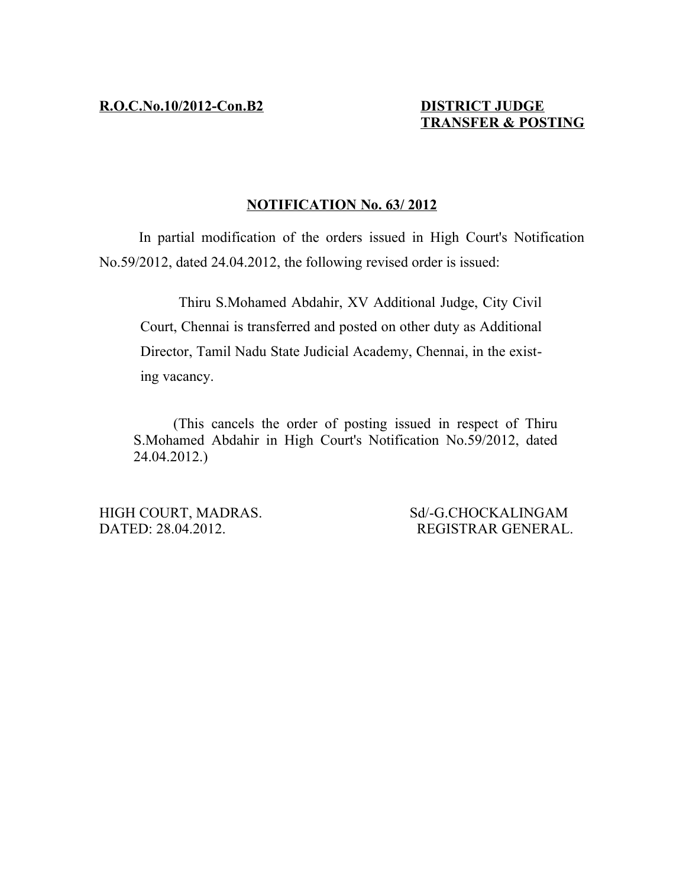# **TRANSFER & POSTING**

### **NOTIFICATION No. 63/ 2012**

In partial modification of the orders issued in High Court's Notification No.59/2012, dated 24.04.2012, the following revised order is issued:

Thiru S.Mohamed Abdahir, XV Additional Judge, City Civil Court, Chennai is transferred and posted on other duty as Additional Director, Tamil Nadu State Judicial Academy, Chennai, in the existing vacancy.

(This cancels the order of posting issued in respect of Thiru S.Mohamed Abdahir in High Court's Notification No.59/2012, dated 24.04.2012.)

HIGH COURT, MADRAS. Sd/-G.CHOCKALINGAM DATED: 28.04.2012. REGISTRAR GENERAL.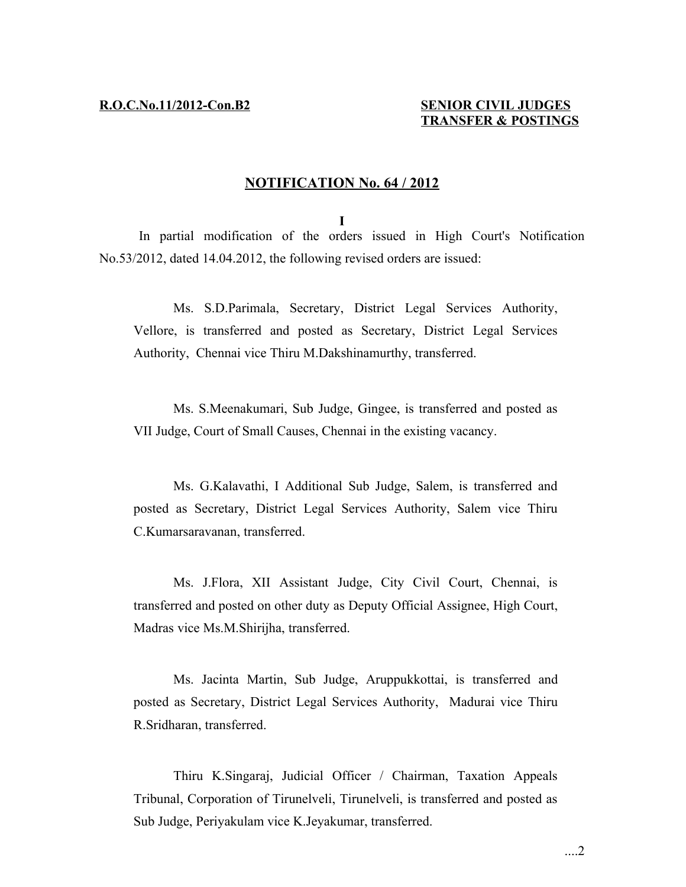#### **NOTIFICATION No. 64 / 2012**

**I**

In partial modification of the orders issued in High Court's Notification No.53/2012, dated 14.04.2012, the following revised orders are issued:

Ms. S.D.Parimala, Secretary, District Legal Services Authority, Vellore, is transferred and posted as Secretary, District Legal Services Authority, Chennai vice Thiru M.Dakshinamurthy, transferred.

Ms. S.Meenakumari, Sub Judge, Gingee, is transferred and posted as VII Judge, Court of Small Causes, Chennai in the existing vacancy.

Ms. G.Kalavathi, I Additional Sub Judge, Salem, is transferred and posted as Secretary, District Legal Services Authority, Salem vice Thiru C.Kumarsaravanan, transferred.

Ms. J.Flora, XII Assistant Judge, City Civil Court, Chennai, is transferred and posted on other duty as Deputy Official Assignee, High Court, Madras vice Ms.M.Shirijha, transferred.

Ms. Jacinta Martin, Sub Judge, Aruppukkottai, is transferred and posted as Secretary, District Legal Services Authority, Madurai vice Thiru R.Sridharan, transferred.

Thiru K.Singaraj, Judicial Officer / Chairman, Taxation Appeals Tribunal, Corporation of Tirunelveli, Tirunelveli, is transferred and posted as Sub Judge, Periyakulam vice K.Jeyakumar, transferred.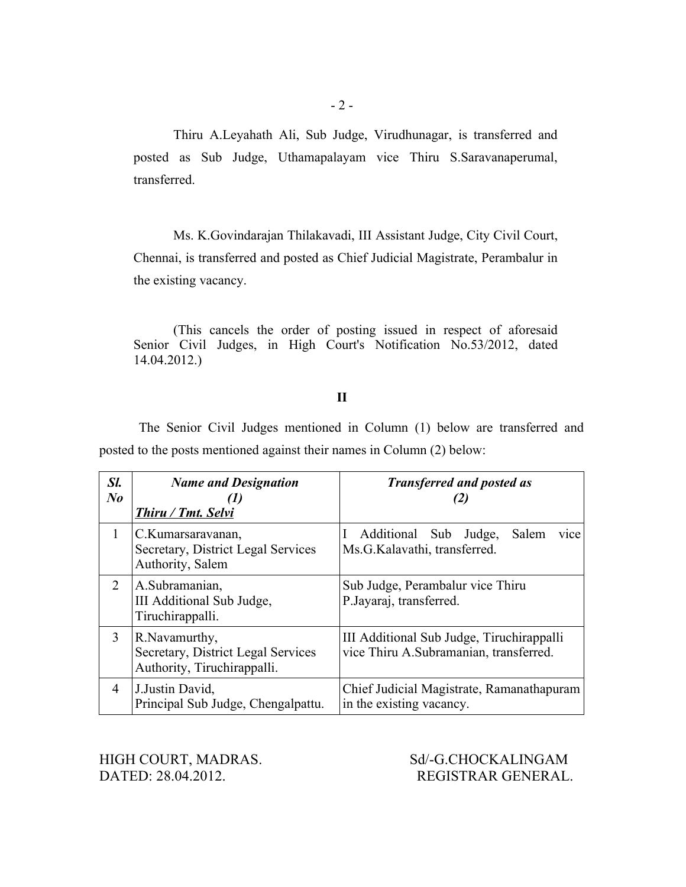Thiru A.Leyahath Ali, Sub Judge, Virudhunagar, is transferred and posted as Sub Judge, Uthamapalayam vice Thiru S.Saravanaperumal, transferred.

Ms. K.Govindarajan Thilakavadi, III Assistant Judge, City Civil Court, Chennai, is transferred and posted as Chief Judicial Magistrate, Perambalur in the existing vacancy.

(This cancels the order of posting issued in respect of aforesaid Senior Civil Judges, in High Court's Notification No.53/2012, dated 14.04.2012.)

#### **II**

The Senior Civil Judges mentioned in Column (1) below are transferred and posted to the posts mentioned against their names in Column (2) below:

| Sl.<br>$N_{0}$ | <b>Name and Designation</b><br><b>Thiru / Tmt. Selvi</b>                            | <b>Transferred and posted as</b>                                                    |
|----------------|-------------------------------------------------------------------------------------|-------------------------------------------------------------------------------------|
|                | C.Kumarsaravanan,<br>Secretary, District Legal Services<br>Authority, Salem         | Additional Sub Judge, Salem<br>vice<br>Ms.G.Kalavathi, transferred.                 |
| 2              | A.Subramanian,<br>III Additional Sub Judge,<br>Tiruchirappalli.                     | Sub Judge, Perambalur vice Thiru<br>P.Jayaraj, transferred.                         |
| 3              | R. Navamurthy,<br>Secretary, District Legal Services<br>Authority, Tiruchirappalli. | III Additional Sub Judge, Tiruchirappalli<br>vice Thiru A.Subramanian, transferred. |
| 4              | J.Justin David,<br>Principal Sub Judge, Chengalpattu.                               | Chief Judicial Magistrate, Ramanathapuram<br>in the existing vacancy.               |

HIGH COURT, MADRAS. Sd/-G.CHOCKALINGAM DATED: 28.04.2012. REGISTRAR GENERAL.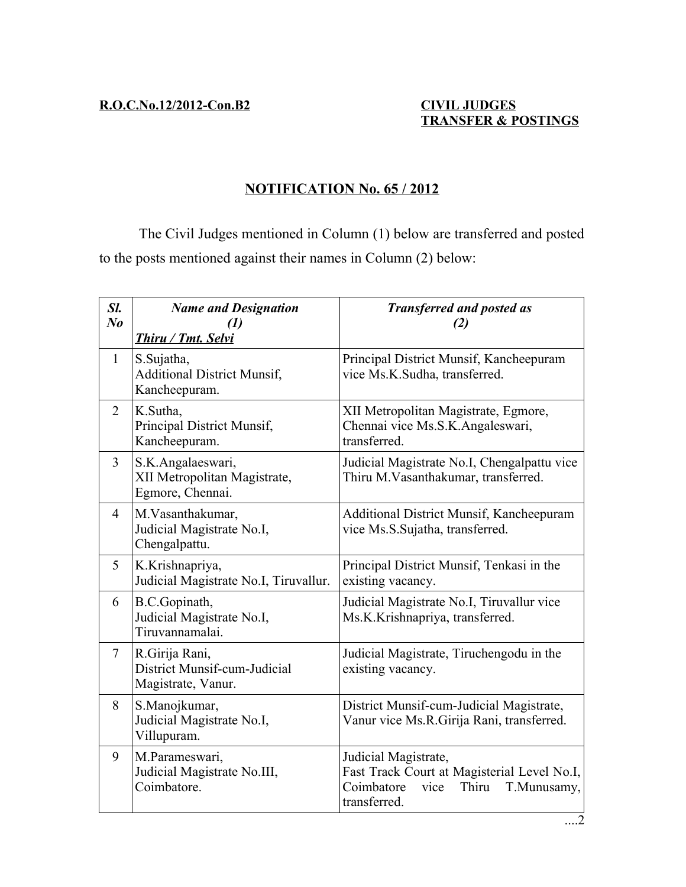## **NOTIFICATION No. 65 / 2012**

The Civil Judges mentioned in Column (1) below are transferred and posted to the posts mentioned against their names in Column (2) below:

| Sl.<br>$N_{0}$ | <b>Name and Designation</b><br>(1)<br>Thiru / Tmt. Selvi              | <b>Transferred and posted as</b><br>(2)                                                                                           |
|----------------|-----------------------------------------------------------------------|-----------------------------------------------------------------------------------------------------------------------------------|
| $\mathbf{1}$   | S.Sujatha,<br><b>Additional District Munsif,</b><br>Kancheepuram.     | Principal District Munsif, Kancheepuram<br>vice Ms.K.Sudha, transferred.                                                          |
| 2              | K.Sutha,<br>Principal District Munsif,<br>Kancheepuram.               | XII Metropolitan Magistrate, Egmore,<br>Chennai vice Ms.S.K.Angaleswari,<br>transferred.                                          |
| 3              | S.K.Angalaeswari,<br>XII Metropolitan Magistrate,<br>Egmore, Chennai. | Judicial Magistrate No.I, Chengalpattu vice<br>Thiru M.Vasanthakumar, transferred.                                                |
| $\overline{4}$ | M. Vasanthakumar,<br>Judicial Magistrate No.I,<br>Chengalpattu.       | <b>Additional District Munsif, Kancheepuram</b><br>vice Ms.S.Sujatha, transferred.                                                |
| 5              | K.Krishnapriya,<br>Judicial Magistrate No.I, Tiruvallur.              | Principal District Munsif, Tenkasi in the<br>existing vacancy.                                                                    |
| 6              | B.C.Gopinath,<br>Judicial Magistrate No.I,<br>Tiruvannamalai.         | Judicial Magistrate No.I, Tiruvallur vice<br>Ms.K.Krishnapriya, transferred.                                                      |
| $\tau$         | R.Girija Rani,<br>District Munsif-cum-Judicial<br>Magistrate, Vanur.  | Judicial Magistrate, Tiruchengodu in the<br>existing vacancy.                                                                     |
| 8              | S.Manojkumar,<br>Judicial Magistrate No.I,<br>Villupuram.             | District Munsif-cum-Judicial Magistrate,<br>Vanur vice Ms.R.Girija Rani, transferred.                                             |
| 9              | M.Parameswari,<br>Judicial Magistrate No.III,<br>Coimbatore.          | Judicial Magistrate,<br>Fast Track Court at Magisterial Level No.I,<br>Coimbatore<br>vice<br>Thiru<br>T.Munusamy,<br>transferred. |